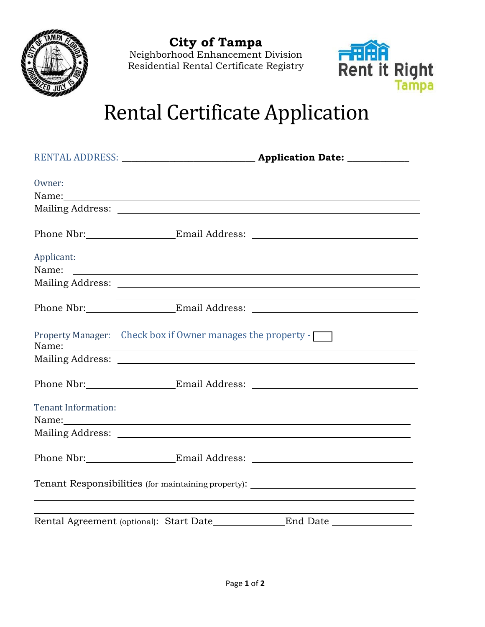

**City of Tampa**

Neighborhood Enhancement Division Residential Rental Certificate Registry



## Rental Certificate Application

| Owner:                     |                                                                                                                                                                                                                               |                                                                                                                                                                                                                               |
|----------------------------|-------------------------------------------------------------------------------------------------------------------------------------------------------------------------------------------------------------------------------|-------------------------------------------------------------------------------------------------------------------------------------------------------------------------------------------------------------------------------|
|                            | Name: Name and the second contract of the second contract of the second contract of the second contract of the second contract of the second contract of the second contract of the second contract of the second contract of |                                                                                                                                                                                                                               |
|                            |                                                                                                                                                                                                                               |                                                                                                                                                                                                                               |
|                            |                                                                                                                                                                                                                               |                                                                                                                                                                                                                               |
| Applicant:<br>Name:        | <u> Alexandria de la contrada de la contrada de la contrada de la contrada de la contrada de la contrada de la c</u>                                                                                                          |                                                                                                                                                                                                                               |
|                            |                                                                                                                                                                                                                               |                                                                                                                                                                                                                               |
|                            |                                                                                                                                                                                                                               | and the control of the control of the control of the control of the control of the control of the control of the                                                                                                              |
|                            | Property Manager: Check box if Owner manages the property -                                                                                                                                                                   |                                                                                                                                                                                                                               |
|                            |                                                                                                                                                                                                                               |                                                                                                                                                                                                                               |
|                            |                                                                                                                                                                                                                               |                                                                                                                                                                                                                               |
| <b>Tenant Information:</b> |                                                                                                                                                                                                                               | Name: Name and the second contract of the second contract of the second contract of the second contract of the second contract of the second contract of the second contract of the second contract of the second contract of |
|                            |                                                                                                                                                                                                                               |                                                                                                                                                                                                                               |
|                            |                                                                                                                                                                                                                               | <u> 1989 - Johann Stoff, deutscher Stoff, der Stoff, der Stoff, der Stoff, der Stoff, der Stoff, der Stoff, der S</u><br>Phone Nbr: Email Address:                                                                            |
|                            |                                                                                                                                                                                                                               | Tenant Responsibilities (for maintaining property): ____________________________                                                                                                                                              |
|                            | Rental Agreement (optional): Start Date______________End Date                                                                                                                                                                 |                                                                                                                                                                                                                               |